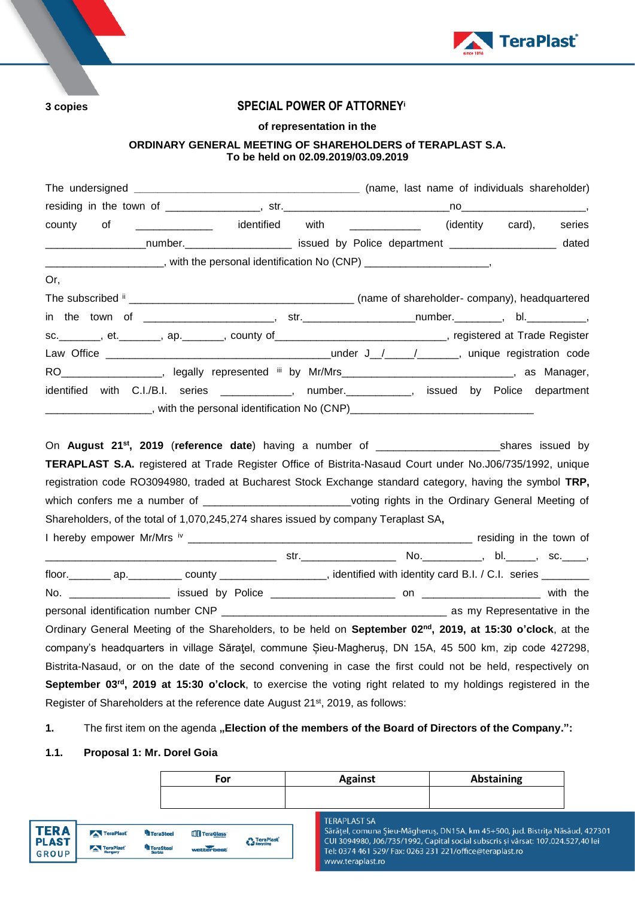

# **3 copies SPECIAL POWER OF ATTORNEY<sup>i</sup>**

# **of representation in the**

## **ORDINARY GENERAL MEETING OF SHAREHOLDERS of TERAPLAST S.A. To be held on 02.09.2019/03.09.2019**

| county<br>of                                                                                                                 | _______________  identified   with  _____________  (identity  card), |  | series |
|------------------------------------------------------------------------------------------------------------------------------|----------------------------------------------------------------------|--|--------|
| _____________________number._________________________ issued by Police department _____________________ dated                |                                                                      |  |        |
| ______________________, with the personal identification No (CNP) ______________________,                                    |                                                                      |  |        |
| Or,                                                                                                                          |                                                                      |  |        |
|                                                                                                                              |                                                                      |  |        |
|                                                                                                                              |                                                                      |  |        |
| sc. _______, et. _______, ap. _______, county of ____________________________, registered at Trade Register                  |                                                                      |  |        |
|                                                                                                                              |                                                                      |  |        |
| RO___________________, legally represented iii by Mr/Mrs______________________________, as Manager,                          |                                                                      |  |        |
| identified with C.I./B.I. series _____________, number.___________, issued by Police department                              |                                                                      |  |        |
|                                                                                                                              |                                                                      |  |        |
|                                                                                                                              |                                                                      |  |        |
|                                                                                                                              |                                                                      |  |        |
| TERAPLAST S.A. registered at Trade Register Office of Bistrita-Nasaud Court under No.J06/735/1992, unique                    |                                                                      |  |        |
| registration code RO3094980, traded at Bucharest Stock Exchange standard category, having the symbol TRP,                    |                                                                      |  |        |
| which confers me a number of _____________________________voting rights in the Ordinary General Meeting of                   |                                                                      |  |        |
| Shareholders, of the total of 1,070,245,274 shares issued by company Teraplast SA,                                           |                                                                      |  |        |
|                                                                                                                              |                                                                      |  |        |
|                                                                                                                              |                                                                      |  |        |
| floor. __________ ap. ____________ county ______________________, identified with identity card B.I. / C.I. series _________ |                                                                      |  |        |
|                                                                                                                              |                                                                      |  |        |
|                                                                                                                              |                                                                      |  |        |
| Ordinary General Meeting of the Shareholders, to be held on September 02 <sup>nd</sup> , 2019, at 15:30 o'clock, at the      |                                                                      |  |        |
| company's headquarters in village Sărațel, commune Șieu-Magheruș, DN 15A, 45 500 km, zip code 427298,                        |                                                                      |  |        |
| Bistrita-Nasaud, or on the date of the second convening in case the first could not be held, respectively on                 |                                                                      |  |        |
| September 03 <sup>rd</sup> , 2019 at 15:30 o'clock, to exercise the voting right related to my holdings registered in the    |                                                                      |  |        |
| Register of Shareholders at the reference date August 21 <sup>st</sup> , 2019, as follows:                                   |                                                                      |  |        |

# 1. The first item on the agenda "Election of the members of the Board of Directors of the Company.":

# **1.1. Proposal 1: Mr. Dorel Goia**

|                             |                        |                         | For                    |                                 | <b>Against</b>      | <b>Abstaining</b>                                                                                                                                                |  |
|-----------------------------|------------------------|-------------------------|------------------------|---------------------------------|---------------------|------------------------------------------------------------------------------------------------------------------------------------------------------------------|--|
|                             |                        |                         |                        |                                 |                     |                                                                                                                                                                  |  |
| <b>TERA</b><br><b>PLAST</b> | TeraPlast <sup>®</sup> | <sup>th</sup> TeraSteel | TeraGlass <sup>®</sup> | <b>C</b> TeraPlast <sup>*</sup> | <b>TERAPLAST SA</b> | Sărătel, comuna Sieu-Măgherus, DN15A, km 45+500, jud. Bistrita Năsăud, 42730<br>CUI 3094980, J06/735/1992, Capital social subscris si vărsat: 107.024.527.40 lei |  |
| <b>GROUP</b>                | TeraPlast              | <b>TeraSteel</b>        | wetterbest             |                                 | www.teraplast.ro    | Tel: 0374 461 529/ Fax: 0263 231 221/office@teraplast.ro                                                                                                         |  |
|                             |                        |                         |                        |                                 |                     |                                                                                                                                                                  |  |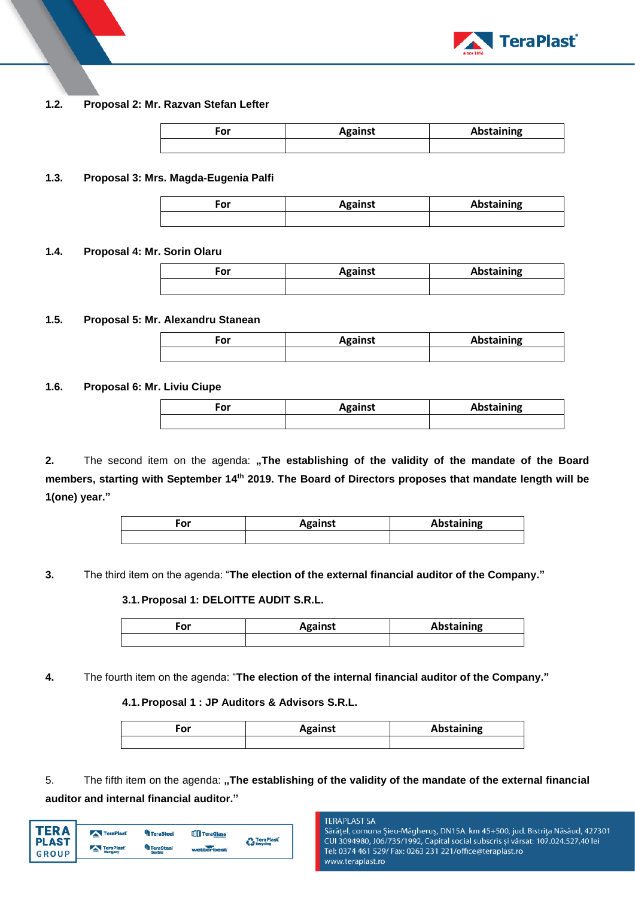

## **1.2. Proposal 2: Mr. Razvan Stefan Lefter**

| ۰or | <b>Against</b> | Abstaining |
|-----|----------------|------------|
|     |                |            |

### **1.3. Proposal 3: Mrs. Magda-Eugenia Palfi**

| .nr<br>וט־ | <b>Against</b> | <b>Abstaining</b> |
|------------|----------------|-------------------|
|            |                |                   |

#### **1.4. Proposal 4: Mr. Sorin Olaru**

| ۰or | <b>Against</b> | Abstaining |
|-----|----------------|------------|
|     |                |            |

### **1.5. Proposal 5: Mr. Alexandru Stanean**

| Ξor | <b>Against</b> | Abstaining |
|-----|----------------|------------|
|     |                |            |

### **1.6. Proposal 6: Mr. Liviu Ciupe**

| ∙or | <b>Against</b> | Abstaining |
|-----|----------------|------------|
|     |                |            |

2. The second item on the agenda: "The establishing of the validity of the mandate of the Board **members, starting with September 14th 2019. The Board of Directors proposes that mandate length will be 1(one) year."**

| For | <b>Against</b> | Abstaining |
|-----|----------------|------------|
|     |                |            |

**3.** The third item on the agenda: "**The election of the external financial auditor of the Company."**

# **3.1.Proposal 1: DELOITTE AUDIT S.R.L.**

| ∕or | <b>Against</b> | Abstaining |
|-----|----------------|------------|
|     |                |            |

**4.** The fourth item on the agenda: "**The election of the internal financial auditor of the Company."**

#### **4.1.Proposal 1 : JP Auditors & Advisors S.R.L.**

| $-0.5$<br>υι | <b>Against</b> | Abstaining |
|--------------|----------------|------------|
|              |                |            |

5. The fifth item on the agenda: **"The establishing of the validity of the mandate of the external financial auditor and internal financial auditor."**

| <b>TERA</b>           | TeraPlast | <b>TeraSteel</b>           | TeraGlass <sup>®</sup> | TeraPlast        |
|-----------------------|-----------|----------------------------|------------------------|------------------|
| <b>PLAST</b><br>GROUP | TeraPlast | <b>TeraSteel</b><br>Serbia | wetterbest             | <b>Recycling</b> |
|                       |           |                            |                        |                  |

#### **TERAPLAST SA**

Sărățel, comuna Șieu-Măgheruș, DN15A, km 45+500, jud. Bistrița Năsăud, 427301 CUI 3094980, J06/735/1992, Capital social subscris și vărsat: 107.024.527,40 lei Tel: 0374 461 529/ Fax: 0263 231 221/office@teraplast.ro www.teraplast.ro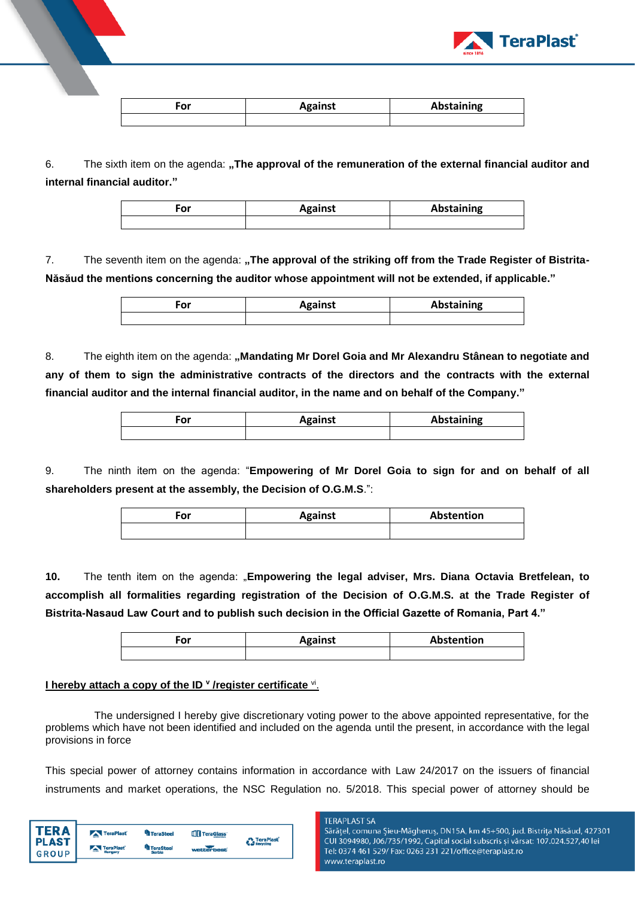

| ∙or | <b>Against</b> | Abstaining |
|-----|----------------|------------|
|     |                |            |

6. The sixth item on the agenda: "The approval of the remuneration of the external financial auditor and **internal financial auditor."**

| For | <b>Against</b> | Abstaining |
|-----|----------------|------------|
|     |                |            |

7. The seventh item on the agenda: "The approval of the striking off from the Trade Register of Bistrita-**Năsăud the mentions concerning the auditor whose appointment will not be extended, if applicable."**

| $-1$ | <b>Against</b> | Abstaining |
|------|----------------|------------|
|      |                |            |

8. The eighth item on the agenda: "Mandating Mr Dorel Goia and Mr Alexandru Stânean to negotiate and **any of them to sign the administrative contracts of the directors and the contracts with the external financial auditor and the internal financial auditor, in the name and on behalf of the Company."**

| ∙or | <b>Against</b> | <b>Abstaining</b> |
|-----|----------------|-------------------|
|     |                |                   |

9. The ninth item on the agenda: "**Empowering of Mr Dorel Goia to sign for and on behalf of all shareholders present at the assembly, the Decision of O.G.M.S**.":

| For | <b>Against</b> | Abstention |
|-----|----------------|------------|
|     |                |            |

**10.** The tenth item on the agenda: "**Empowering the legal adviser, Mrs. Diana Octavia Bretfelean, to accomplish all formalities regarding registration of the Decision of O.G.M.S. at the Trade Register of Bistrita-Nasaud Law Court and to publish such decision in the Official Gazette of Romania, Part 4."**

| For | <b>Against</b> | Abstention |
|-----|----------------|------------|
|     |                |            |

# **I hereby attach a copy of the ID <sup>v</sup> /register certificate <sup>vi</sup>.**

The undersigned I hereby give discretionary voting power to the above appointed representative, for the problems which have not been identified and included on the agenda until the present, in accordance with the legal provisions in force

This special power of attorney contains information in accordance with Law 24/2017 on the issuers of financial instruments and market operations, the NSC Regulation no. 5/2018. This special power of attorney should be

| TER A        | TeraPlast | <sup>4</sup> TeraSteel | TeraGlass' | <b>TeraPlast</b> |
|--------------|-----------|------------------------|------------|------------------|
| <b>PLAST</b> |           | <b>TeraSteel</b>       |            | <b>Recycling</b> |
| <b>GROUP</b> | TeraPlast | Serbia                 | wetterbest |                  |

**TERAPLAST SA** 

Sărățel, comuna Șieu-Măgheruș, DN15A, km 45+500, jud. Bistrița Năsăud, 427301 CUI 3094980, J06/735/1992, Capital social subscris și vărsat: 107.024.527,40 lei Tel: 0374 461 529/ Fax: 0263 231 221/office@teraplast.ro www.teraplast.ro